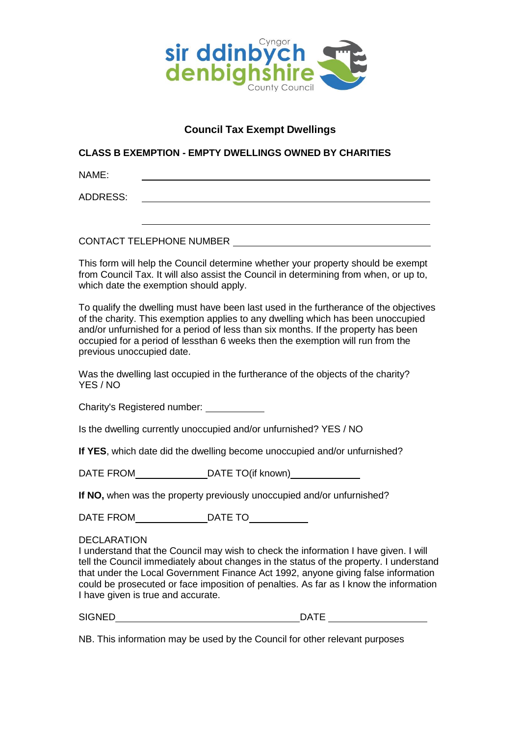

## **Council Tax Exempt Dwellings**

## **CLASS B EXEMPTION - EMPTY DWELLINGS OWNED BY CHARITIES**

NAME:

ADDRESS:

CONTACT TELEPHONE NUMBER

This form will help the Council determine whether your property should be exempt from Council Tax. It will also assist the Council in determining from when, or up to, which date the exemption should apply.

To qualify the dwelling must have been last used in the furtherance of the objectives of the charity. This exemption applies to any dwelling which has been unoccupied and/or unfurnished for a period of less than six months. If the property has been occupied for a period of lessthan 6 weeks then the exemption will run from the previous unoccupied date.

Was the dwelling last occupied in the furtherance of the objects of the charity? YES / NO

Charity's Registered number:

Is the dwelling currently unoccupied and/or unfurnished? YES / NO

**If YES**, which date did the dwelling become unoccupied and/or unfurnished?

DATE FROM DATE TO(if known)

**If NO,** when was the property previously unoccupied and/or unfurnished?

DATE FROM DATE TO

## **DECLARATION**

I understand that the Council may wish to check the information I have given. I will tell the Council immediately about changes in the status of the property. I understand that under the Local Government Finance Act 1992, anyone giving false information could be prosecuted or face imposition of penalties. As far as I know the information I have given is true and accurate.

SIGNED DATE

NB. This information may be used by the Council for other relevant purposes